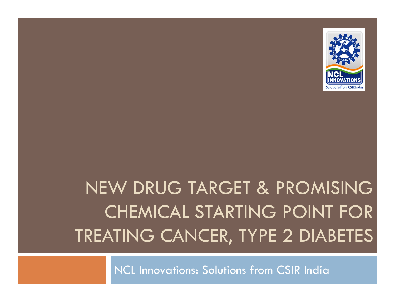

## NEW DRUG TARGET & PROMISING CHEMICAL STARTING POINT FOR TREATING CANCER, TYPE 2 DIABETES

NCL Innovations: Solutions from CSIR India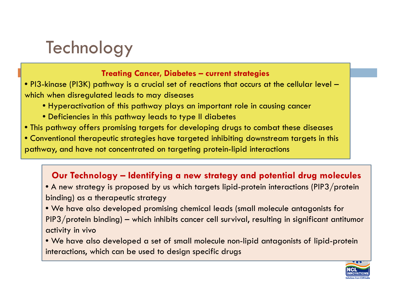### **Technology**

#### **Treating Cancer, Diabetes – current strategies**

- PI3-kinase (PI3K) pathway is a crucial set of reactions that occurs at the cellular level which when disregulated leads to may diseases
	- Hyperactivation of this pathway plays an important role in causing cancer
	- Deficiencies in this pathway leads to type II diabetes
- This pathway offers promising targets for developing drugs to combat these diseases
- Conventional therapeutic strategies have targeted inhibiting downstream targets in this pathway, and have not concentrated on targeting protein-lipid interactions

### Our Technology – Identifying a new strategy and potential drug molecules

- $\bullet$  A new strategy is proposed by us which targets lipid-protein interactions (PIP3/protein) binding) as a therapeutic strategy
- We have also developed promising chemical leads (small molecule antagonists for PIP3/protein binding) – which inhibits cancer cell survival, resulting in significant antitumor activity in vivo
- We have also developed a set of small molecule non-lipid antagonists of lipid-protein interactions, which can be used to design specific drugs

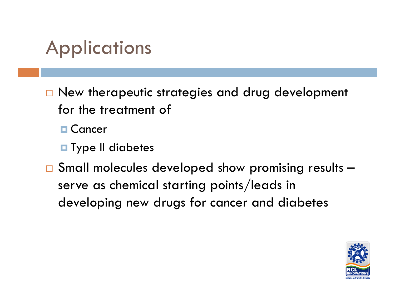## Applications

- $\square$  New therapeutic strategies and drug development for the treatment of
	- **□ Cancer**
	- $\blacksquare$  Type II diabetes
- $\Box$  Small molecules developed show promising results serve as chemical starting points/leads in developing new drugs for cancer and diabetes

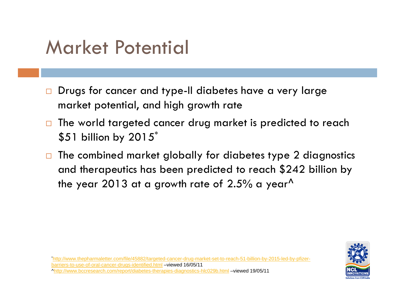## Market Potential

- $\Box$  $\Box$  Drugs for cancer and type-II diabetes have a very large market potential, and high growth rate
- $\Box$  The world targeted cancer drug market is predicted to reach  $$51$  billion by 2015 $^{\ast}$
- $\Box$  The combined market globally for diabetes type 2 diagnostics and therapeutics has been predicted to reach \$242 billion by the year 2013 at a growth rate of 2.5% a year<sup> $\Lambda$ </sup>

\*http://www.thepharmaletter.com/file/45882/targeted-cancer-drug-market-set-to-reach-51-billion-by-2015-led-by-pfizerbarriers-to-use-of-oral-cancer-drugs-identified.html –viewed 16/05/11 ^http://www.bccresearch.com/report/diabetes-therapies-diagnostics-hlc029b.html –viewed 19/05/11

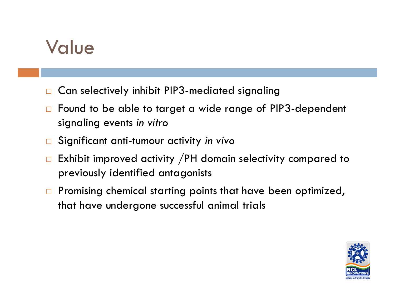### Value

- $\Box$ Can selectively inhibit PIP3-mediated signaling
- $\Box$  Found to be able to target a wide range of PIP3-dependent signaling events *in vitro*
- $\Box$ Significant anti-tumour activity *in vivo*
- $\Box$  Exhibit improved activity /PH domain selectivity compared to previously identified antagonists
- $\Box$  Promising chemical starting points that have been optimized, that have undergone successful animal trials

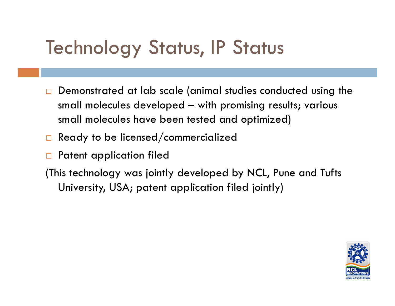## **Technology Status, IP Status**

- $\Box$ Demonstrated at lab scale (animal studies conducted using the small molecules developed – with promising results; various small molecules have been tested and optimized)
- $\Box$  Ready to be licensed/commercialized
- $\Box$ Patent application filed
- (This technology was jointly developed by NCL, Pune and Tufts University, USA; patent application filed jointly)

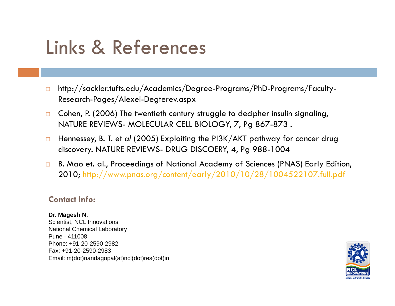## Links & References

- $\Box$  http://sackler.tufts.edu/Academics/Degree-Programs/PhD-Programs/Faculty-Research-Pages/Alexei-Degterev.aspx
- $\Box$  Cohen, P. (2006) The twentieth century struggle to decipher insulin signaling, NATURE REVIEWS- MOLECULAR CELL BIOLOGY, 7, Pg 867-873 .
- $\Box$  Hennessey, B. T. et *al* (2005) Exploiting the PI3K/AKT pathway for cancer drug discovery. NATURE REVIEWS- DRUG DISCOERY, 4, Pg 988-1004
- $\Box$  B. Mao et. al., Proceedings of National Academy of Sciences (PNAS) Early Edition, 2010; <u>http://www.pnas.org/content/early/2010/10/28/1004522107.full.pdf</u>

#### **Contact Info:**

#### **Dr. Magesh N.**

Scientist, NCL Innovations National Chemical Laboratory Pune - 411008Phone: +91-20-2590-2982Fax: +91-20-2590-2983 Email: m(dot)nandagopal(at)ncl(dot)res(dot)in